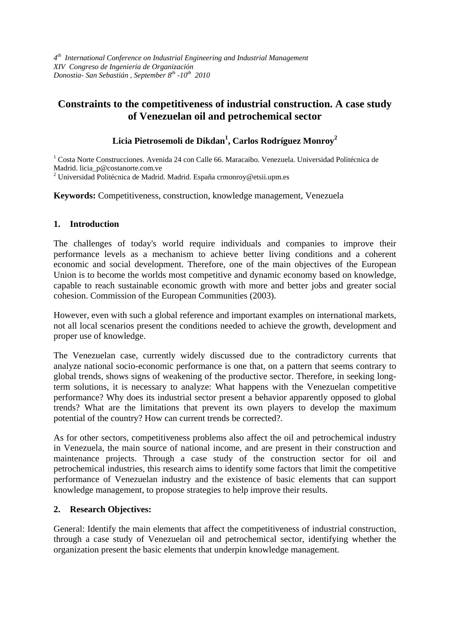*4th International Conference on Industrial Engineering and Industrial Management XIV Congreso de Ingeniería de Organización Donostia- San Sebastián , September 8th -10th 2010* 

# **Constraints to the competitiveness of industrial construction. A case study of Venezuelan oil and petrochemical sector**

# **Licia Pietrosemoli de Dikdan1 , Carlos Rodríguez Monroy<sup>2</sup>**

<sup>1</sup> Costa Norte Construcciones. Avenida 24 con Calle 66. Maracaibo. Venezuela. Universidad Politécnica de Madrid. licia\_p@costanorte.com.ve

<sup>2</sup> Universidad Politécnica de Madrid. Madrid. España crmonroy@etsii.upm.es

**Keywords:** Competitiveness, construction, knowledge management, Venezuela

#### **1. Introduction**

The challenges of today's world require individuals and companies to improve their performance levels as a mechanism to achieve better living conditions and a coherent economic and social development. Therefore, one of the main objectives of the European Union is to become the worlds most competitive and dynamic economy based on knowledge, capable to reach sustainable economic growth with more and better jobs and greater social cohesion. Commission of the European Communities (2003).

However, even with such a global reference and important examples on international markets, not all local scenarios present the conditions needed to achieve the growth, development and proper use of knowledge.

The Venezuelan case, currently widely discussed due to the contradictory currents that analyze national socio-economic performance is one that, on a pattern that seems contrary to global trends, shows signs of weakening of the productive sector. Therefore, in seeking longterm solutions, it is necessary to analyze: What happens with the Venezuelan competitive performance? Why does its industrial sector present a behavior apparently opposed to global trends? What are the limitations that prevent its own players to develop the maximum potential of the country? How can current trends be corrected?.

As for other sectors, competitiveness problems also affect the oil and petrochemical industry in Venezuela, the main source of national income, and are present in their construction and maintenance projects. Through a case study of the construction sector for oil and petrochemical industries, this research aims to identify some factors that limit the competitive performance of Venezuelan industry and the existence of basic elements that can support knowledge management, to propose strategies to help improve their results.

# **2. Research Objectives:**

General: Identify the main elements that affect the competitiveness of industrial construction, through a case study of Venezuelan oil and petrochemical sector, identifying whether the organization present the basic elements that underpin knowledge management.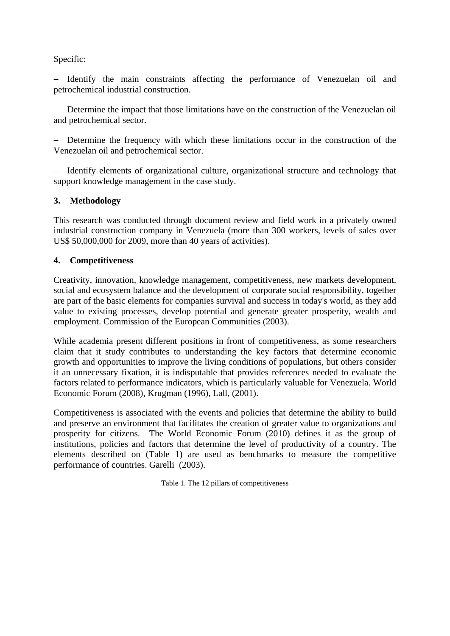## Specific:

− Identify the main constraints affecting the performance of Venezuelan oil and petrochemical industrial construction.

Determine the impact that those limitations have on the construction of the Venezuelan oil and petrochemical sector.

− Determine the frequency with which these limitations occur in the construction of the Venezuelan oil and petrochemical sector.

− Identify elements of organizational culture, organizational structure and technology that support knowledge management in the case study.

#### **3. Methodology**

This research was conducted through document review and field work in a privately owned industrial construction company in Venezuela (more than 300 workers, levels of sales over US\$ 50,000,000 for 2009, more than 40 years of activities).

#### **4. Competitiveness**

Creativity, innovation, knowledge management, competitiveness, new markets development, social and ecosystem balance and the development of corporate social responsibility, together are part of the basic elements for companies survival and success in today's world, as they add value to existing processes, develop potential and generate greater prosperity, wealth and employment. Commission of the European Communities (2003).

While academia present different positions in front of competitiveness, as some researchers claim that it study contributes to understanding the key factors that determine economic growth and opportunities to improve the living conditions of populations, but others consider it an unnecessary fixation, it is indisputable that provides references needed to evaluate the factors related to performance indicators, which is particularly valuable for Venezuela. World Economic Forum (2008), Krugman (1996), Lall, (2001).

Competitiveness is associated with the events and policies that determine the ability to build and preserve an environment that facilitates the creation of greater value to organizations and prosperity for citizens. The World Economic Forum (2010) defines it as the group of institutions, policies and factors that determine the level of productivity of a country. The elements described on (Table 1) are used as benchmarks to measure the competitive performance of countries. Garelli (2003).

Table 1. The 12 pillars of competitiveness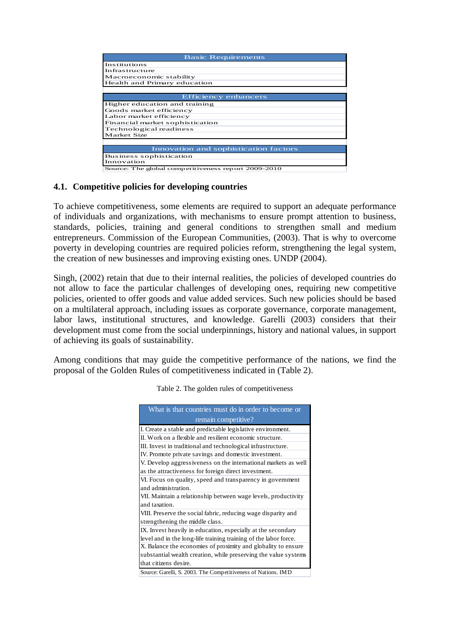| <b>Basic Requirements</b>                           |
|-----------------------------------------------------|
| Institutions                                        |
| Infrastructure                                      |
| Macroeconomic stability                             |
| Health and Primary education                        |
|                                                     |
| Efficiency enhancers                                |
| Higher education and training                       |
| Goods market efficiency                             |
| Labor market efficiency                             |
| Financial market sophistication                     |
| Technological readiness                             |
| Market Size                                         |
|                                                     |
| Innovation and sophistication factors               |
| Business sophistication                             |
| Innovation                                          |
| Source: The global competitiveness report 2009-2010 |

#### **4.1. Competitive policies for developing countries**

To achieve competitiveness, some elements are required to support an adequate performance of individuals and organizations, with mechanisms to ensure prompt attention to business, standards, policies, training and general conditions to strengthen small and medium entrepreneurs. Commission of the European Communities, (2003). That is why to overcome poverty in developing countries are required policies reform, strengthening the legal system, the creation of new businesses and improving existing ones. UNDP (2004).

Singh, (2002) retain that due to their internal realities, the policies of developed countries do not allow to face the particular challenges of developing ones, requiring new competitive policies, oriented to offer goods and value added services. Such new policies should be based on a multilateral approach, including issues as corporate governance, corporate management, labor laws, institutional structures, and knowledge. Garelli (2003) considers that their development must come from the social underpinnings, history and national values, in support of achieving its goals of sustainability.

Among conditions that may guide the competitive performance of the nations, we find the proposal of the Golden Rules of competitiveness indicated in (Table 2).

| What is that countries must do in order to become or             |
|------------------------------------------------------------------|
| remain competitive?                                              |
| I. Create a stable and predictable legislative environment.      |
| II. Work on a flexible and resilient economic structure.         |
| III. Invest in traditional and technological infrastructure.     |
| IV. Promote private savings and domestic investment.             |
| V. Develop aggressiveness on the international markets as well   |
| as the attractiveness for foreign direct investment.             |
| VI. Focus on quality, speed and transparency in government       |
| and administration.                                              |
| VII. Maintain a relationship between wage levels, productivity   |
| and taxation.                                                    |
| VIII. Preserve the social fabric, reducing wage disparity and    |
| strengthening the middle class.                                  |
| IX. Invest heavily in education, especially at the secondary     |
| level and in the long-life training training of the labor force. |
| X. Balance the economies of proximity and globality to ensure    |
| substantial wealth creation, while preserving the value systems  |
| that citizens desire.                                            |
| Source: Garelli, S. 2003. The Competitiveness of Nations. IMD    |

Table 2. The golden rules of competitiveness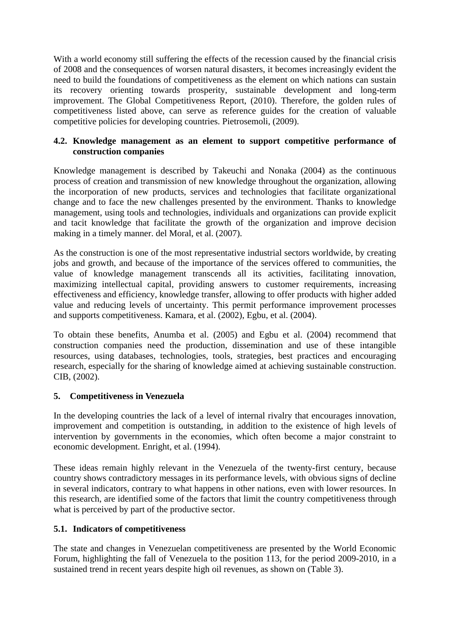With a world economy still suffering the effects of the recession caused by the financial crisis of 2008 and the consequences of worsen natural disasters, it becomes increasingly evident the need to build the foundations of competitiveness as the element on which nations can sustain its recovery orienting towards prosperity, sustainable development and long-term improvement. The Global Competitiveness Report, (2010). Therefore, the golden rules of competitiveness listed above, can serve as reference guides for the creation of valuable competitive policies for developing countries. Pietrosemoli, (2009).

# **4.2. Knowledge management as an element to support competitive performance of construction companies**

Knowledge management is described by Takeuchi and Nonaka (2004) as the continuous process of creation and transmission of new knowledge throughout the organization, allowing the incorporation of new products, services and technologies that facilitate organizational change and to face the new challenges presented by the environment. Thanks to knowledge management, using tools and technologies, individuals and organizations can provide explicit and tacit knowledge that facilitate the growth of the organization and improve decision making in a timely manner. del Moral, et al. (2007).

As the construction is one of the most representative industrial sectors worldwide, by creating jobs and growth, and because of the importance of the services offered to communities, the value of knowledge management transcends all its activities, facilitating innovation, maximizing intellectual capital, providing answers to customer requirements, increasing effectiveness and efficiency, knowledge transfer, allowing to offer products with higher added value and reducing levels of uncertainty. This permit performance improvement processes and supports competitiveness. Kamara, et al. (2002), Egbu, et al. (2004).

To obtain these benefits, Anumba et al. (2005) and Egbu et al. (2004) recommend that construction companies need the production, dissemination and use of these intangible resources, using databases, technologies, tools, strategies, best practices and encouraging research, especially for the sharing of knowledge aimed at achieving sustainable construction. CIB, (2002).

# **5. Competitiveness in Venezuela**

In the developing countries the lack of a level of internal rivalry that encourages innovation, improvement and competition is outstanding, in addition to the existence of high levels of intervention by governments in the economies, which often become a major constraint to economic development. Enright, et al. (1994).

These ideas remain highly relevant in the Venezuela of the twenty-first century, because country shows contradictory messages in its performance levels, with obvious signs of decline in several indicators, contrary to what happens in other nations, even with lower resources. In this research, are identified some of the factors that limit the country competitiveness through what is perceived by part of the productive sector.

# **5.1. Indicators of competitiveness**

The state and changes in Venezuelan competitiveness are presented by the World Economic Forum, highlighting the fall of Venezuela to the position 113, for the period 2009-2010, in a sustained trend in recent years despite high oil revenues, as shown on (Table 3).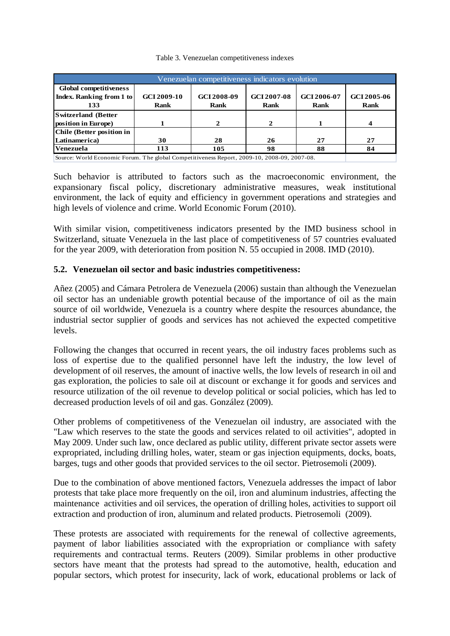| Venezuelan competitiveness indicators evolution                                                          |                                   |                            |                            |                            |                            |
|----------------------------------------------------------------------------------------------------------|-----------------------------------|----------------------------|----------------------------|----------------------------|----------------------------|
| Global competitiveness<br>Index. Ranking from 1 to<br>133                                                | <b>GCI 2009-10</b><br><b>Rank</b> | GCI 2008-09<br><b>Rank</b> | GCI 2007-08<br><b>Rank</b> | GCI 2006-07<br><b>Rank</b> | GCI 2005-06<br><b>Rank</b> |
| <b>Switzerland</b> (Better<br>position in Europe)                                                        |                                   | 2                          | $\mathbf{Z}$               |                            |                            |
| <b>Chile (Better position in</b><br>Latinamerica)                                                        | 30                                | 28                         | 26                         | 27                         | 27                         |
| Venezuela<br>Source: World Economic Forum. The global Competitiveness Report, 2009-10, 2008-09, 2007-08. | 113                               | 105                        | 98                         | 88                         | 84                         |

Table 3. Venezuelan competitiveness indexes

Such behavior is attributed to factors such as the macroeconomic environment, the expansionary fiscal policy, discretionary administrative measures, weak institutional environment, the lack of equity and efficiency in government operations and strategies and high levels of violence and crime. World Economic Forum (2010).

With similar vision, competitiveness indicators presented by the IMD business school in Switzerland, situate Venezuela in the last place of competitiveness of 57 countries evaluated for the year 2009, with deterioration from position N. 55 occupied in 2008. IMD (2010).

# **5.2. Venezuelan oil sector and basic industries competitiveness:**

Añez (2005) and Cámara Petrolera de Venezuela (2006) sustain than although the Venezuelan oil sector has an undeniable growth potential because of the importance of oil as the main source of oil worldwide, Venezuela is a country where despite the resources abundance, the industrial sector supplier of goods and services has not achieved the expected competitive levels.

Following the changes that occurred in recent years, the oil industry faces problems such as loss of expertise due to the qualified personnel have left the industry, the low level of development of oil reserves, the amount of inactive wells, the low levels of research in oil and gas exploration, the policies to sale oil at discount or exchange it for goods and services and resource utilization of the oil revenue to develop political or social policies, which has led to decreased production levels of oil and gas. González (2009).

Other problems of competitiveness of the Venezuelan oil industry, are associated with the "Law which reserves to the state the goods and services related to oil activities", adopted in May 2009. Under such law, once declared as public utility, different private sector assets were expropriated, including drilling holes, water, steam or gas injection equipments, docks, boats, barges, tugs and other goods that provided services to the oil sector. Pietrosemoli (2009).

Due to the combination of above mentioned factors, Venezuela addresses the impact of labor protests that take place more frequently on the oil, iron and aluminum industries, affecting the maintenance activities and oil services, the operation of drilling holes, activities to support oil extraction and production of iron, aluminum and related products. Pietrosemoli (2009).

These protests are associated with requirements for the renewal of collective agreements, payment of labor liabilities associated with the expropriation or compliance with safety requirements and contractual terms. Reuters (2009). Similar problems in other productive sectors have meant that the protests had spread to the automotive, health, education and popular sectors, which protest for insecurity, lack of work, educational problems or lack of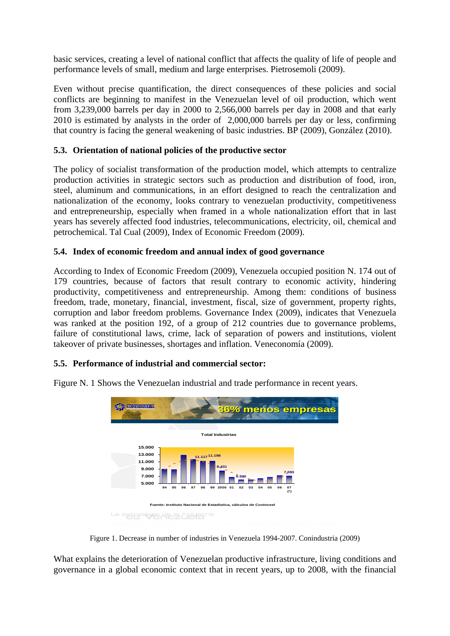basic services, creating a level of national conflict that affects the quality of life of people and performance levels of small, medium and large enterprises. Pietrosemoli (2009).

Even without precise quantification, the direct consequences of these policies and social conflicts are beginning to manifest in the Venezuelan level of oil production, which went from 3,239,000 barrels per day in 2000 to 2,566,000 barrels per day in 2008 and that early 2010 is estimated by analysts in the order of 2,000,000 barrels per day or less, confirming that country is facing the general weakening of basic industries. BP (2009), González (2010).

# **5.3. Orientation of national policies of the productive sector**

The policy of socialist transformation of the production model, which attempts to centralize production activities in strategic sectors such as production and distribution of food, iron, steel, aluminum and communications, in an effort designed to reach the centralization and nationalization of the economy, looks contrary to venezuelan productivity, competitiveness and entrepreneurship, especially when framed in a whole nationalization effort that in last years has severely affected food industries, telecommunications, electricity, oil, chemical and petrochemical. Tal Cual (2009), Index of Economic Freedom (2009).

# **5.4. Index of economic freedom and annual index of good governance**

According to Index of Economic Freedom (2009), Venezuela occupied position N. 174 out of 179 countries, because of factors that result contrary to economic activity, hindering productivity, competitiveness and entrepreneurship. Among them: conditions of business freedom, trade, monetary, financial, investment, fiscal, size of government, property rights, corruption and labor freedom problems. Governance Index (2009), indicates that Venezuela was ranked at the position 192, of a group of 212 countries due to governance problems, failure of constitutional laws, crime, lack of separation of powers and institutions, violent takeover of private businesses, shortages and inflation. Veneconomía (2009).

# **5.5. Performance of industrial and commercial sector:**



Figure N. 1 Shows the Venezuelan industrial and trade performance in recent years.

Figure 1. Decrease in number of industries in Venezuela 1994-2007. Conindustria (2009)

What explains the deterioration of Venezuelan productive infrastructure, living conditions and governance in a global economic context that in recent years, up to 2008, with the financial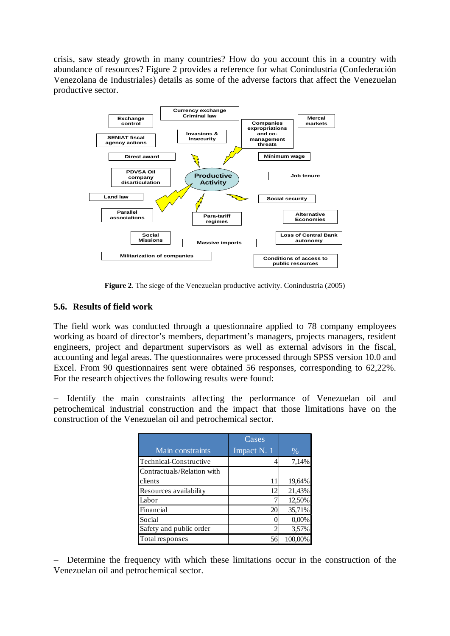crisis, saw steady growth in many countries? How do you account this in a country with abundance of resources? Figure 2 provides a reference for what Conindustria (Confederación Venezolana de Industriales) details as some of the adverse factors that affect the Venezuelan productive sector.



**Figure 2**. The siege of the Venezuelan productive activity. Conindustria (2005)

#### **5.6. Results of field work**

The field work was conducted through a questionnaire applied to 78 company employees working as board of director's members, department's managers, projects managers, resident engineers, project and department supervisors as well as external advisors in the fiscal, accounting and legal areas. The questionnaires were processed through SPSS version 10.0 and Excel. From 90 questionnaires sent were obtained 56 responses, corresponding to 62,22%. For the research objectives the following results were found:

Identify the main constraints affecting the performance of Venezuelan oil and petrochemical industrial construction and the impact that those limitations have on the construction of the Venezuelan oil and petrochemical sector.

|                            | Cases       |         |
|----------------------------|-------------|---------|
| Main constraints           | Impact N. 1 | $\%$    |
| Technical-Constructive     |             | 7,14%   |
| Contractuals/Relation with |             |         |
| clients                    | 11          | 19,64%  |
| Resources availability     | 12          | 21,43%  |
| Labor                      |             | 12,50%  |
| Financial                  | 20          | 35,71%  |
| Social                     |             | 0,00%   |
| Safety and public order    |             | 3,57%   |
| Total responses            | 56          | 100,00% |

− Determine the frequency with which these limitations occur in the construction of the Venezuelan oil and petrochemical sector.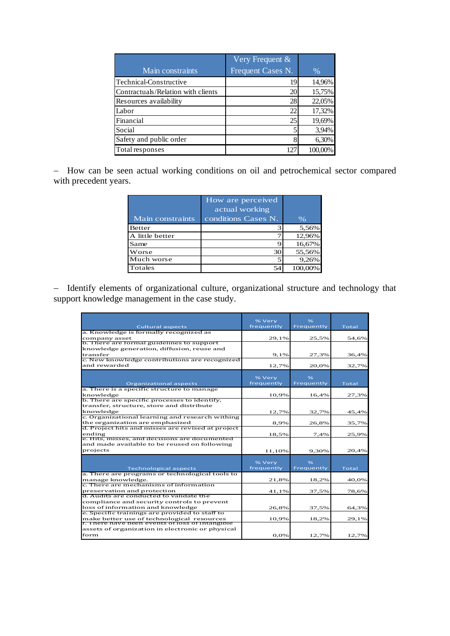|                                    | Very Frequent &   |         |
|------------------------------------|-------------------|---------|
| Main constraints                   | Frequent Cases N. | $\%$    |
| Technical-Constructive             | 19                | 14,96%  |
| Contractuals/Relation with clients | 20                | 15,75%  |
| Resources availability             | 28                | 22,05%  |
| Labor                              | 22                | 17,32%  |
| Financial                          | 25                | 19,69%  |
| Social                             |                   | 3,94%   |
| Safety and public order            |                   | 6,30%   |
| Total responses                    | 127               | 100,00% |

− How can be seen actual working conditions on oil and petrochemical sector compared with precedent years.

| Main constraints | How are perceived<br>actual working<br>conditions Cases N. | $\%$    |
|------------------|------------------------------------------------------------|---------|
| Better           |                                                            | 5,56%   |
| A little better  |                                                            | 12,96%  |
| Same             |                                                            | 16,67%  |
| Worse            | 30                                                         | 55,56%  |
| Much worse       |                                                            | 9,26%   |
| Totales          | 54                                                         | 100,00% |

− Identify elements of organizational culture, organizational structure and technology that support knowledge management in the case study.

|                                                                                               | % Very     | $\frac{9}{6}$ |       |
|-----------------------------------------------------------------------------------------------|------------|---------------|-------|
| <b>Cultural aspects</b>                                                                       | frequently | Frequently    | Total |
| a. Knowledge is formally recognized as                                                        |            |               |       |
| company asset                                                                                 | 29.1%      | 25,5%         | 54,6% |
| b. There are formal guidelines to support                                                     |            |               |       |
| knowledge generation, diffusion, reuse and                                                    |            |               |       |
| transfer                                                                                      | 9,1%       | 27,3%         | 36,4% |
| c. New knowledge contributions are recognized                                                 |            |               |       |
| and rewarded                                                                                  | 12,7%      | 20.0%         | 32,7% |
|                                                                                               |            |               |       |
|                                                                                               | % Very     | $\frac{9}{6}$ |       |
| <b>Organizational aspects</b>                                                                 | frequently | Frequently    | Total |
| a. There is a specific structure to manage                                                    |            |               |       |
| knowledge<br>b. There are specific processes to identify,                                     | 10,9%      | 16,4%         | 27,3% |
|                                                                                               |            |               |       |
| transfer, structure, store and distribute<br>knowledge                                        |            |               |       |
| c. Organizational learning and research withing                                               | 12,7%      | 32,7%         | 45,4% |
| the organization are emphasized                                                               | 8,9%       |               |       |
| d. Project hits and misses are revised at project                                             |            | 26,8%         | 35,7% |
| ending                                                                                        | 18,5%      | 7,4%          | 25,9% |
| e. Hits, misses, and decisions are documented                                                 |            |               |       |
| and made available to be reused on following                                                  |            |               |       |
| projects                                                                                      | 11.10%     | 9.30%         | 20,4% |
|                                                                                               |            |               |       |
|                                                                                               | % Very     | $\frac{9}{6}$ |       |
| <b>Technological aspects</b>                                                                  | frequently | Frequently    | Total |
| a. There are programs or technological tools to                                               |            |               |       |
| manage knowledge.                                                                             | 21.8%      | 18,2%         | 40,0% |
| c. There are mechanisms of information                                                        |            |               |       |
| preservation and protection                                                                   | 41,1%      | 37,5%         | 78,6% |
| d. Audits are conducted to validate the                                                       |            |               |       |
| compliance and security controls to prevent                                                   |            |               |       |
| loss of information and knowledge                                                             | 26,8%      | 37,5%         | 64,3% |
| e. Specific trainings are provided to staff to                                                |            |               |       |
| make better use of technological resources<br>f. There have been events of loss of intangible | 10,9%      | 18,2%         | 29,1% |
| assets of organization in electronic or physical                                              |            |               |       |
| form                                                                                          | 0,0%       | 12,7%         | 12,7% |
|                                                                                               |            |               |       |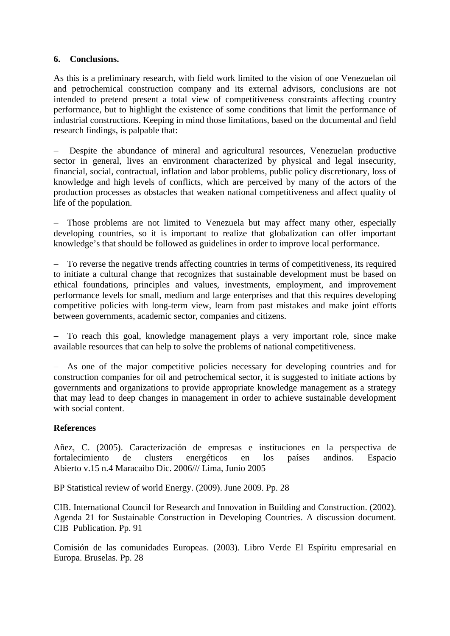#### **6. Conclusions.**

As this is a preliminary research, with field work limited to the vision of one Venezuelan oil and petrochemical construction company and its external advisors, conclusions are not intended to pretend present a total view of competitiveness constraints affecting country performance, but to highlight the existence of some conditions that limit the performance of industrial constructions. Keeping in mind those limitations, based on the documental and field research findings, is palpable that:

Despite the abundance of mineral and agricultural resources, Venezuelan productive sector in general, lives an environment characterized by physical and legal insecurity, financial, social, contractual, inflation and labor problems, public policy discretionary, loss of knowledge and high levels of conflicts, which are perceived by many of the actors of the production processes as obstacles that weaken national competitiveness and affect quality of life of the population.

Those problems are not limited to Venezuela but may affect many other, especially developing countries, so it is important to realize that globalization can offer important knowledge's that should be followed as guidelines in order to improve local performance.

− To reverse the negative trends affecting countries in terms of competitiveness, its required to initiate a cultural change that recognizes that sustainable development must be based on ethical foundations, principles and values, investments, employment, and improvement performance levels for small, medium and large enterprises and that this requires developing competitive policies with long-term view, learn from past mistakes and make joint efforts between governments, academic sector, companies and citizens.

− To reach this goal, knowledge management plays a very important role, since make available resources that can help to solve the problems of national competitiveness.

− As one of the major competitive policies necessary for developing countries and for construction companies for oil and petrochemical sector, it is suggested to initiate actions by governments and organizations to provide appropriate knowledge management as a strategy that may lead to deep changes in management in order to achieve sustainable development with social content.

# **References**

Añez, C. (2005). Caracterización de empresas e instituciones en la perspectiva de fortalecimiento de clusters energéticos en los países andinos. Espacio Abierto v.15 n.4 Maracaibo Dic. 2006/// Lima, Junio 2005

BP Statistical review of world Energy. (2009). June 2009. Pp. 28

CIB. International Council for Research and Innovation in Building and Construction. (2002). Agenda 21 for Sustainable Construction in Developing Countries. A discussion document. CIB Publication. Pp. 91

Comisión de las comunidades Europeas. (2003). Libro Verde El Espíritu empresarial en Europa. Bruselas. Pp. 28